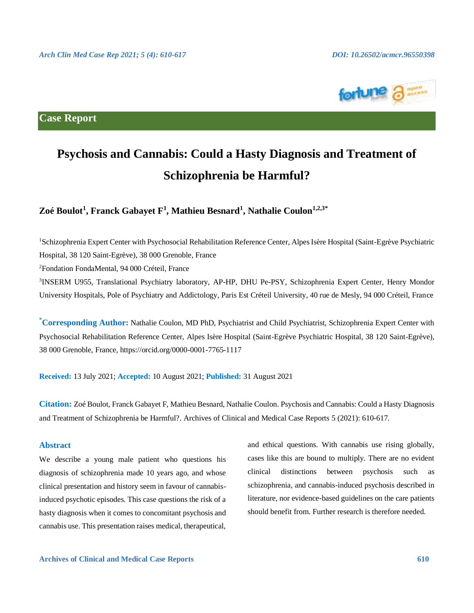

**Case Report**

# **Psychosis and Cannabis: Could a Hasty Diagnosis and Treatment of Schizophrenia be Harmful?**

**Zoé Boulot<sup>1</sup> , Franck Gabayet F<sup>1</sup> , Mathieu Besnard<sup>1</sup> , Nathalie Coulon1,2,3\***

<sup>1</sup>Schizophrenia Expert Center with Psychosocial Rehabilitation Reference Center, Alpes Isère Hospital (Saint-Egrève Psychiatric Hospital, 38 120 Saint-Egrève), 38 000 Grenoble, France

<sup>2</sup>Fondation FondaMental, 94 000 Créteil, France

<sup>3</sup>INSERM U955, Translational Psychiatry laboratory, AP-HP, DHU Pe-PSY, Schizophrenia Expert Center, Henry Mondor University Hospitals, Pole of Psychiatry and Addictology, Paris Est Créteil University, 40 rue de Mesly, 94 000 Créteil, France

**\*Corresponding Author:** Nathalie Coulon, MD PhD, Psychiatrist and Child Psychiatrist, Schizophrenia Expert Center with Psychosocial Rehabilitation Reference Center, Alpes Isère Hospital (Saint-Egrève Psychiatric Hospital, 38 120 Saint-Egrève), 38 000 Grenoble, France, https://orcid.org/0000-0001-7765-1117

**Received:** 13 July 2021; **Accepted:** 10 August 2021; **Published:** 31 August 2021

**Citation:** Zoé Boulot, Franck Gabayet F, Mathieu Besnard, Nathalie Coulon. Psychosis and Cannabis: Could a Hasty Diagnosis and Treatment of Schizophrenia be Harmful?. Archives of Clinical and Medical Case Reports 5 (2021): 610-617.

#### **Abstract**

We describe a young male patient who questions his diagnosis of schizophrenia made 10 years ago, and whose clinical presentation and history seem in favour of cannabisinduced psychotic episodes. This case questions the risk of a hasty diagnosis when it comes to concomitant psychosis and cannabis use. This presentation raises medical, therapeutical,

and ethical questions. With cannabis use rising globally, cases like this are bound to multiply. There are no evident clinical distinctions between psychosis such as schizophrenia, and cannabis-induced psychosis described in literature, nor evidence-based guidelines on the care patients should benefit from. Further research is therefore needed.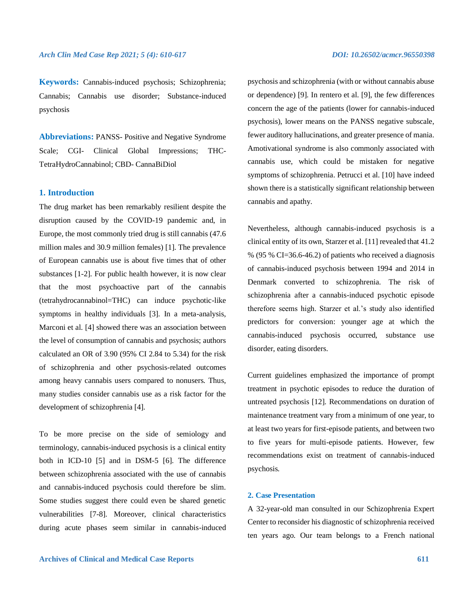**Keywords:** Cannabis-induced psychosis; Schizophrenia; Cannabis; Cannabis use disorder; Substance-induced psychosis

**Abbreviations:** PANSS- Positive and Negative Syndrome Scale; CGI- Clinical Global Impressions; THC-TetraHydroCannabinol; CBD- CannaBiDiol

# **1. Introduction**

The drug market has been remarkably resilient despite the disruption caused by the COVID-19 pandemic and, in Europe, the most commonly tried drug is still cannabis (47.6 million males and 30.9 million females) [1]. The prevalence of European cannabis use is about five times that of other substances [1-2]. For public health however, it is now clear that the most psychoactive part of the cannabis (tetrahydrocannabinol=THC) can induce psychotic-like symptoms in healthy individuals [3]. In a meta-analysis, Marconi et al. [4] showed there was an association between the level of consumption of cannabis and psychosis; authors calculated an OR of 3.90 (95% CI 2.84 to 5.34) for the risk of schizophrenia and other psychosis-related outcomes among heavy cannabis users compared to nonusers. Thus, many studies consider cannabis use as a risk factor for the development of schizophrenia [4].

To be more precise on the side of semiology and terminology, cannabis-induced psychosis is a clinical entity both in ICD-10 [5] and in DSM-5 [6]. The difference between schizophrenia associated with the use of cannabis and cannabis-induced psychosis could therefore be slim. Some studies suggest there could even be shared genetic vulnerabilities [7-8]. Moreover, clinical characteristics during acute phases seem similar in cannabis-induced psychosis and schizophrenia (with or without cannabis abuse or dependence) [9]. In rentero et al. [9], the few differences concern the age of the patients (lower for cannabis-induced psychosis), lower means on the PANSS negative subscale, fewer auditory hallucinations, and greater presence of mania. Amotivational syndrome is also commonly associated with cannabis use, which could be mistaken for negative symptoms of schizophrenia. Petrucci et al. [10] have indeed shown there is a statistically significant relationship between cannabis and apathy.

Nevertheless, although cannabis-induced psychosis is a clinical entity of its own, Starzer et al. [11] revealed that 41.2 % (95 % CI=36.6-46.2) of patients who received a diagnosis of cannabis-induced psychosis between 1994 and 2014 in Denmark converted to schizophrenia. The risk of schizophrenia after a cannabis-induced psychotic episode therefore seems high. Starzer et al.'s study also identified predictors for conversion: younger age at which the cannabis-induced psychosis occurred, substance use disorder, eating disorders.

Current guidelines emphasized the importance of prompt treatment in psychotic episodes to reduce the duration of untreated psychosis [12]. Recommendations on duration of maintenance treatment vary from a minimum of one year, to at least two years for first-episode patients, and between two to five years for multi-episode patients. However, few recommendations exist on treatment of cannabis-induced psychosis.

# **2. Case Presentation**

A 32-year-old man consulted in our Schizophrenia Expert Center to reconsider his diagnostic of schizophrenia received ten years ago. Our team belongs to a French national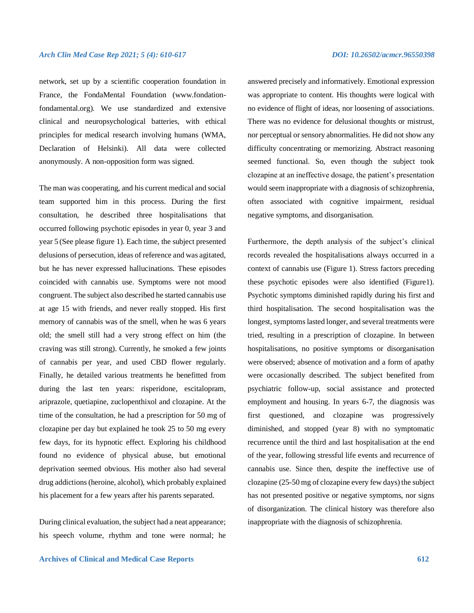network, set up by a scientific cooperation foundation in France, the FondaMental Foundation (www.fondationfondamental.org). We use standardized and extensive clinical and neuropsychological batteries, with ethical principles for medical research involving humans (WMA, Declaration of Helsinki). All data were collected anonymously. A non-opposition form was signed.

The man was cooperating, and his current medical and social team supported him in this process. During the first consultation, he described three hospitalisations that occurred following psychotic episodes in year 0, year 3 and year 5 (See please figure 1). Each time, the subject presented delusions of persecution, ideas of reference and was agitated, but he has never expressed hallucinations. These episodes coincided with cannabis use. Symptoms were not mood congruent. The subject also described he started cannabis use at age 15 with friends, and never really stopped. His first memory of cannabis was of the smell, when he was 6 years old; the smell still had a very strong effect on him (the craving was still strong). Currently, he smoked a few joints of cannabis per year, and used CBD flower regularly. Finally, he detailed various treatments he benefitted from during the last ten years: risperidone, escitalopram, ariprazole, quetiapine, zuclopenthixol and clozapine. At the time of the consultation, he had a prescription for 50 mg of clozapine per day but explained he took 25 to 50 mg every few days, for its hypnotic effect. Exploring his childhood found no evidence of physical abuse, but emotional deprivation seemed obvious. His mother also had several drug addictions (heroine, alcohol), which probably explained his placement for a few years after his parents separated.

During clinical evaluation, the subject had a neat appearance; his speech volume, rhythm and tone were normal; he answered precisely and informatively. Emotional expression was appropriate to content. His thoughts were logical with no evidence of flight of ideas, nor loosening of associations. There was no evidence for delusional thoughts or mistrust, nor perceptual or sensory abnormalities. He did not show any difficulty concentrating or memorizing. Abstract reasoning seemed functional. So, even though the subject took clozapine at an ineffective dosage, the patient's presentation would seem inappropriate with a diagnosis of schizophrenia, often associated with cognitive impairment, residual negative symptoms, and disorganisation.

Furthermore, the depth analysis of the subject's clinical records revealed the hospitalisations always occurred in a context of cannabis use (Figure 1). Stress factors preceding these psychotic episodes were also identified (Figure1). Psychotic symptoms diminished rapidly during his first and third hospitalisation. The second hospitalisation was the longest, symptoms lasted longer, and several treatments were tried, resulting in a prescription of clozapine. In between hospitalisations, no positive symptoms or disorganisation were observed; absence of motivation and a form of apathy were occasionally described. The subject benefited from psychiatric follow-up, social assistance and protected employment and housing. In years 6-7, the diagnosis was first questioned, and clozapine was progressively diminished, and stopped (year 8) with no symptomatic recurrence until the third and last hospitalisation at the end of the year, following stressful life events and recurrence of cannabis use. Since then, despite the ineffective use of clozapine (25-50 mg of clozapine every few days) the subject has not presented positive or negative symptoms, nor signs of disorganization. The clinical history was therefore also inappropriate with the diagnosis of schizophrenia.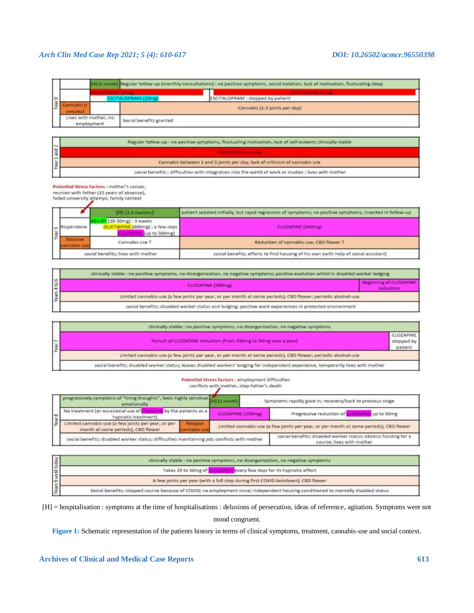|               | [14] (1 month] Regular follow-up (monthly consultations) : no positive symptoms, social isolation, lack of motivation, fluctuating sleep |  |                         |                                   |  |
|---------------|------------------------------------------------------------------------------------------------------------------------------------------|--|-------------------------|-----------------------------------|--|
|               |                                                                                                                                          |  |                         |                                   |  |
| $\Rightarrow$ | <b>SCITALOPRAM / LOmat</b>                                                                                                               |  |                         | ESCITALOPRAM : stopped by patient |  |
|               |                                                                                                                                          |  |                         | Cannabis (1-2 joints per day)     |  |
|               | Lives with mother, no<br>employment                                                                                                      |  | Social benefits granted |                                   |  |

| <b>IN</b>      | Regular follow-up : no positive symptoms, fluctuating motivation, lack of self-esteem; clinically stable |  |
|----------------|----------------------------------------------------------------------------------------------------------|--|
| $\overline{a}$ |                                                                                                          |  |
| $\overline{ }$ | Cannabis between 1 and 5 joints per day, lack of criticism of cannabis use                               |  |
|                | social benefits ; difficulties with integration into the world of work or studies ; lives with mother    |  |

Potential Stress factors : mother's cancer,

reunion with father (15 years of absence),<br>failed university attempt, family context

|                                    | $[H]$ $(2.5 \text{ months})$                                           | patient sedated initially, but rapid regression of symptoms; no positive symptoms, invested in follow-up |  |
|------------------------------------|------------------------------------------------------------------------|----------------------------------------------------------------------------------------------------------|--|
| Risperidone                        | (20-30mg): 3 weeks<br>QUETIAPINE (600mg) : a few days<br>tup to 500mg) | CLOZAPINE (500mg)                                                                                        |  |
| Cannabis use ?                     |                                                                        | Reduction of cannabis-use, CBD flower?                                                                   |  |
| social benefits; lives with mother |                                                                        | social benefits; efforts to find housing of his own (with help of social assistant)                      |  |

| clinically stable : no positive symptoms, no disorganization, no negative symptoms; positive evolution whilst in disabled worker lodging |           |  |  |
|------------------------------------------------------------------------------------------------------------------------------------------|-----------|--|--|
| CLOZAPINE (500mg)                                                                                                                        | reduction |  |  |
| Limited cannabis-use (a few joints per year, or per month at some periods), CBD flower; periodic alcohol-use                             |           |  |  |
| social benefits; disabled worker status and lodging; positive work experiences in protected environment                                  |           |  |  |

|        | clinically stable : no positive symptoms, no disorganization, no negative symptoms                                                  |                                    |  |  |
|--------|-------------------------------------------------------------------------------------------------------------------------------------|------------------------------------|--|--|
| Year 7 | Pursuit of CLOZAPINE reduction (from 350mg to 50mg over a year)                                                                     | CLOZAPINE<br>stopped by<br>patient |  |  |
|        | Limited cannabis-use (a few joints per year, or per month at some periods), CBD flower; periodic alcohol-use                        |                                    |  |  |
|        | social benefits; disabled worker status; leaves disabled workers' lodging for independent experience, temporarily lives with mother |                                    |  |  |

#### Potential Stress factors : employment difficulties

conflicts with mother, step-father's death

|  | progressively complains of "tiring thoughts", feels highly sensitive<br>emotionally          |                                                                                             | Symptoms rapidly gave in, recovery/back to previous stage<br>[H] (1 mon)               |                                        |
|--|----------------------------------------------------------------------------------------------|---------------------------------------------------------------------------------------------|----------------------------------------------------------------------------------------|----------------------------------------|
|  | No treatment (or occasional use of Ch<br>hypnotic treatment)                                 | by the patients as a                                                                        | CLOZAPINE (250mg)                                                                      | Progressive reduction of<br>up to 50mg |
|  | Limited cannabis-use (a few joints per year, or per<br>month at some periods), CBD flower    | <b>Relapse</b><br>nabls us                                                                  | Limited cannabis-use (a few joints per year, or per month at some periods), CBD flower |                                        |
|  | social benefits; disabled worker status; difficulties maintaining job; conflicts with mother | social benefits; disabled worker status; obtains funding for a<br>course; lives with mother |                                                                                        |                                        |

| clinically stable : no positive symptoms, no disorganization, no negative symptoms                                                 |
|------------------------------------------------------------------------------------------------------------------------------------|
| Takes 25 to 50mg of CLOZAPINE avery few days for its hypnotic effect                                                               |
| A few joints per year (with a full stop during first COVID lockdown); CBD flower                                                   |
| Social benefits; stopped course because of COVID; no employment since; independent housing conditioned to mentally disabled status |

[H] = hospitalisation : symptoms at the time of hospitalisations : delusions of persecution, ideas of reference, agitation. Symptoms were not mood congruent.

**Figure 1:** Schematic representation of the patients history in terms of clinical symptoms, treatment, cannabis-use and social context.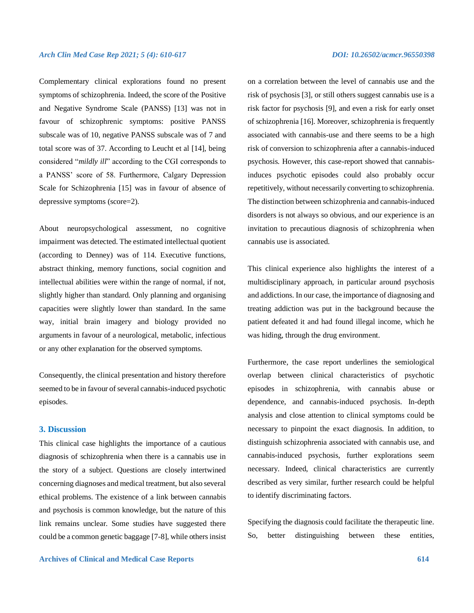Complementary clinical explorations found no present symptoms of schizophrenia. Indeed, the score of the Positive and Negative Syndrome Scale (PANSS) [13] was not in favour of schizophrenic symptoms: positive PANSS subscale was of 10, negative PANSS subscale was of 7 and total score was of 37. According to Leucht et al [14], being considered "*mildly ill*" according to the CGI corresponds to a PANSS' score of 58. Furthermore, Calgary Depression Scale for Schizophrenia [15] was in favour of absence of depressive symptoms (score=2).

About neuropsychological assessment, no cognitive impairment was detected. The estimated intellectual quotient (according to Denney) was of 114. Executive functions, abstract thinking, memory functions, social cognition and intellectual abilities were within the range of normal, if not, slightly higher than standard. Only planning and organising capacities were slightly lower than standard. In the same way, initial brain imagery and biology provided no arguments in favour of a neurological, metabolic, infectious or any other explanation for the observed symptoms.

Consequently, the clinical presentation and history therefore seemed to be in favour of several cannabis-induced psychotic episodes.

## **3. Discussion**

This clinical case highlights the importance of a cautious diagnosis of schizophrenia when there is a cannabis use in the story of a subject. Questions are closely intertwined concerning diagnoses and medical treatment, but also several ethical problems. The existence of a link between cannabis and psychosis is common knowledge, but the nature of this link remains unclear. Some studies have suggested there could be a common genetic baggage [7-8], while others insist on a correlation between the level of cannabis use and the risk of psychosis [3], or still others suggest cannabis use is a risk factor for psychosis [9], and even a risk for early onset of schizophrenia [16]. Moreover, schizophrenia is frequently associated with cannabis-use and there seems to be a high risk of conversion to schizophrenia after a cannabis-induced psychosis. However, this case-report showed that cannabisinduces psychotic episodes could also probably occur repetitively, without necessarily converting to schizophrenia. The distinction between schizophrenia and cannabis-induced disorders is not always so obvious, and our experience is an invitation to precautious diagnosis of schizophrenia when cannabis use is associated.

This clinical experience also highlights the interest of a multidisciplinary approach, in particular around psychosis and addictions. In our case, the importance of diagnosing and treating addiction was put in the background because the patient defeated it and had found illegal income, which he was hiding, through the drug environment.

Furthermore, the case report underlines the semiological overlap between clinical characteristics of psychotic episodes in schizophrenia, with cannabis abuse or dependence, and cannabis-induced psychosis. In-depth analysis and close attention to clinical symptoms could be necessary to pinpoint the exact diagnosis. In addition, to distinguish schizophrenia associated with cannabis use, and cannabis-induced psychosis, further explorations seem necessary. Indeed, clinical characteristics are currently described as very similar, further research could be helpful to identify discriminating factors.

Specifying the diagnosis could facilitate the therapeutic line. So, better distinguishing between these entities,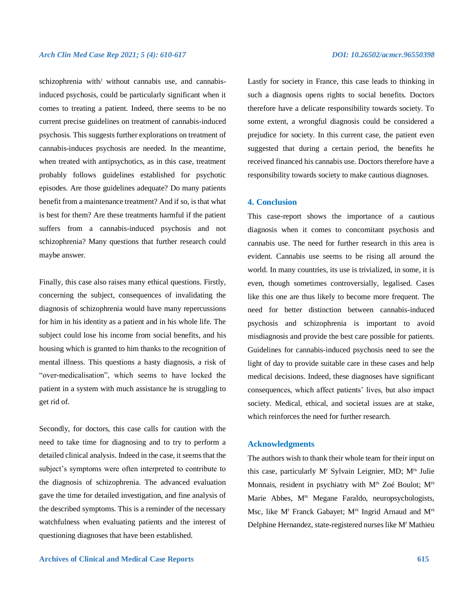schizophrenia with/ without cannabis use, and cannabisinduced psychosis, could be particularly significant when it comes to treating a patient. Indeed, there seems to be no current precise guidelines on treatment of cannabis-induced psychosis. This suggests further explorations on treatment of cannabis-induces psychosis are needed. In the meantime, when treated with antipsychotics, as in this case, treatment probably follows guidelines established for psychotic episodes. Are those guidelines adequate? Do many patients benefit from a maintenance treatment? And if so, is that what is best for them? Are these treatments harmful if the patient suffers from a cannabis-induced psychosis and not schizophrenia? Many questions that further research could maybe answer.

Finally, this case also raises many ethical questions. Firstly, concerning the subject, consequences of invalidating the diagnosis of schizophrenia would have many repercussions for him in his identity as a patient and in his whole life. The subject could lose his income from social benefits, and his housing which is granted to him thanks to the recognition of mental illness. This questions a hasty diagnosis, a risk of "over-medicalisation", which seems to have locked the patient in a system with much assistance he is struggling to get rid of.

Secondly, for doctors, this case calls for caution with the need to take time for diagnosing and to try to perform a detailed clinical analysis. Indeed in the case, it seems that the subject's symptoms were often interpreted to contribute to the diagnosis of schizophrenia. The advanced evaluation gave the time for detailed investigation, and fine analysis of the described symptoms. This is a reminder of the necessary watchfulness when evaluating patients and the interest of questioning diagnoses that have been established.

Lastly for society in France, this case leads to thinking in such a diagnosis opens rights to social benefits. Doctors therefore have a delicate responsibility towards society. To some extent, a wrongful diagnosis could be considered a prejudice for society. In this current case, the patient even suggested that during a certain period, the benefits he received financed his cannabis use. Doctors therefore have a responsibility towards society to make cautious diagnoses.

#### **4. Conclusion**

This case-report shows the importance of a cautious diagnosis when it comes to concomitant psychosis and cannabis use. The need for further research in this area is evident. Cannabis use seems to be rising all around the world. In many countries, its use is trivialized, in some, it is even, though sometimes controversially, legalised. Cases like this one are thus likely to become more frequent. The need for better distinction between cannabis-induced psychosis and schizophrenia is important to avoid misdiagnosis and provide the best care possible for patients. Guidelines for cannabis-induced psychosis need to see the light of day to provide suitable care in these cases and help medical decisions. Indeed, these diagnoses have significant consequences, which affect patients' lives, but also impact society. Medical, ethical, and societal issues are at stake, which reinforces the need for further research.

### **Acknowledgments**

The authors wish to thank their whole team for their input on this case, particularly M<sup>r</sup> Sylvain Leignier, MD; Mrs Julie Monnais, resident in psychiatry with Mrs Zoé Boulot; Mrs Marie Abbes, M<sup>rs</sup> Megane Faraldo, neuropsychologists, Msc, like M<sup>r</sup> Franck Gabayet; M<sup>rs</sup> Ingrid Arnaud and M<sup>rs</sup> Delphine Hernandez, state-registered nurses like M<sup>r</sup> Mathieu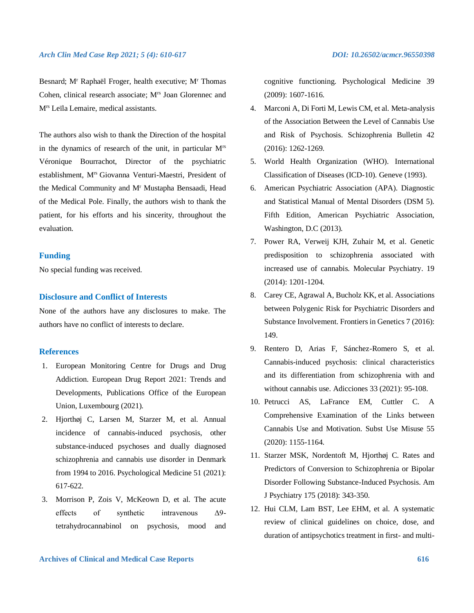Besnard; M<sup>r</sup> Raphaël Froger, health executive; M<sup>r</sup> Thomas Cohen, clinical research associate; Mrs Joan Glorennec and Mrs Leïla Lemaire, medical assistants.

The authors also wish to thank the Direction of the hospital in the dynamics of research of the unit, in particular Mrs Véronique Bourrachot, Director of the psychiatric establishment, Mrs Giovanna Venturi-Maestri, President of the Medical Community and M<sup>r</sup> Mustapha Bensaadi, Head of the Medical Pole. Finally, the authors wish to thank the patient, for his efforts and his sincerity, throughout the evaluation.

# **Funding**

No special funding was received.

## **Disclosure and Conflict of Interests**

None of the authors have any disclosures to make. The authors have no conflict of interests to declare.

### **References**

- 1. European Monitoring Centre for Drugs and Drug Addiction. European Drug Report 2021: Trends and Developments, Publications Office of the European Union, Luxembourg (2021).
- 2. Hjorthøj C, Larsen M, Starzer M, et al. Annual incidence of cannabis-induced psychosis, other substance-induced psychoses and dually diagnosed schizophrenia and cannabis use disorder in Denmark from 1994 to 2016. Psychological Medicine 51 (2021): 617-622.
- 3. Morrison P, Zois V, McKeown D, et al. The acute effects of synthetic intravenous Δ9 tetrahydrocannabinol on psychosis, mood and

cognitive functioning. Psychological Medicine 39 (2009): 1607-1616.

- 4. Marconi A, Di Forti M, Lewis CM, et al. Meta-analysis of the Association Between the Level of Cannabis Use and Risk of Psychosis. Schizophrenia Bulletin 42 (2016): 1262-1269.
- 5. World Health Organization (WHO). International Classification of Diseases (ICD-10). Geneve (1993).
- 6. American Psychiatric Association (APA). Diagnostic and Statistical Manual of Mental Disorders (DSM 5). Fifth Edition, American Psychiatric Association, Washington, D.C (2013).
- 7. Power RA, Verweij KJH, Zuhair M, et al. Genetic predisposition to schizophrenia associated with increased use of cannabis. Molecular Psychiatry. 19 (2014): 1201-1204.
- 8. Carey CE, Agrawal A, Bucholz KK, et al. Associations between Polygenic Risk for Psychiatric Disorders and Substance Involvement. Frontiers in Genetics 7 (2016): 149.
- 9. Rentero D, Arias F, Sánchez-Romero S, et al. Cannabis-induced psychosis: clinical characteristics and its differentiation from schizophrenia with and without cannabis use. Adicciones 33 (2021): 95-108.
- 10. Petrucci AS, LaFrance EM, Cuttler C. A Comprehensive Examination of the Links between Cannabis Use and Motivation. Subst Use Misuse 55 (2020): 1155-1164.
- 11. Starzer MSK, Nordentoft M, Hjorthøj C. Rates and Predictors of Conversion to Schizophrenia or Bipolar Disorder Following Substance-Induced Psychosis. Am J Psychiatry 175 (2018): 343-350.
- 12. Hui CLM, Lam BST, Lee EHM, et al. A systematic review of clinical guidelines on choice, dose, and duration of antipsychotics treatment in first- and multi-